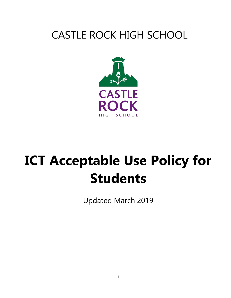# CASTLE ROCK HIGH SCHOOL



# **ICT Acceptable Use Policy for Students**

Updated March 2019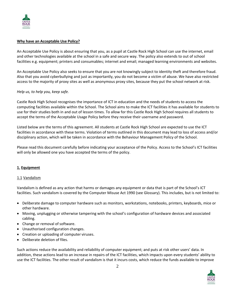

#### **Why have an Acceptable Use Policy?**

An Acceptable Use Policy is about ensuring that you, as a pupil at Castle Rock High School can use the internet, email and other technologies available at the school in a safe and secure way. The policy also extends to out of school facilities e.g. equipment; printers and consumables; internet and email; managed learning environments and websites.

An Acceptable Use Policy also seeks to ensure that you are not knowingly subject to identity theft and therefore fraud. Also that you avoid cyberbullying and just as importantly, you do not become a victim of abuse. We have also restricted access to the majority of proxy sites as well as anonymous proxy sites, because they put the school network at risk.

#### *Help us, to help you, keep safe.*

Castle Rock High School recognises the importance of ICT in education and the needs of students to access the computing facilities available within the School. The School aims to make the ICT facilities it has available for students to use for their studies both in and out of lesson times. To allow for this Castle Rock High School requires all students to accept the terms of the Acceptable Usage Policy before they receive their username and password.

Listed below are the terms of this agreement. All students at Castle Rock High School are expected to use the ICT facilities in accordance with these terms. Violation of terms outlined in this document may lead to loss of access and/or disciplinary action, which will be taken in accordance with the Behaviour Management Policy of the School.

Please read this document carefully before indicating your acceptance of the Policy. Access to the School's ICT facilities will only be allowed one you have accepted the terms of the policy.

#### **1. Equipment**

#### 1.1 Vandalism

Vandalism is defined as any action that harms or damages any equipment or data that is part of the School's ICT facilities. Such vandalism is covered by the Computer Misuse Act 1990 (see Glossary). This includes, but is not limited to:

- Deliberate damage to computer hardware such as monitors, workstations, notebooks, printers, keyboards, mice or other hardware.
- Moving, unplugging or otherwise tampering with the school's configuration of hardware devices and associated cabling.
- Change or removal of software.
- Unauthorised configuration changes.
- Creation or uploading of computer viruses.
- Deliberate deletion of files.

Such actions reduce the availability and reliability of computer equipment; and puts at risk other users' data. In addition, these actions lead to an increase in repairs of the ICT facilities, which impacts upon every students' ability to use the ICT facilities. The other result of vandalism is that it incurs costs, which reduce the funds available to improve

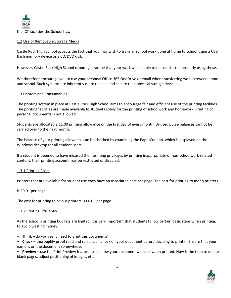

the ICT facilities the School has.

#### 1.2 Use of Removable Storage Media

Castle Rock High School accepts the fact that you may wish to transfer school work done at home to school using a USB flash memory device or a CD/DVD disk.

However, Castle Rock High School cannot guarantee that your work will be able to be transferred properly using these.

We therefore encourage you to use your personal Office 365 OneDrive or email when transferring work between home and school. Such systems are inherently more reliable and secure than physical storage devices.

# 1.3 Printers and Consumables

The printing system in place at Castle Rock High School aims to encourage fair and efficient use of the printing facilities. The printing facilities are made available to students solely for the printing of schoolwork and homework. Printing of personal documents is not allowed.

Students are allocated a £1.00 printing allowance on the first day of every month. Unused purse balances cannot be carried over to the next month.

The balance of your printing allowance can be checked by examining the PaperCut app, which is displayed on the Windows desktop for all student users.

If a student is deemed to have misused their printing privileges by printing inappropriate or non-schoolwork related content, their printing account may be restricted or disabled.

#### 1.3.1 Printing Costs

Printers that are available for student use each have an associated cost per page. The cost for printing to mono printers

is £0.01 per page.

The cost for printing to colour printers is £0.05 per page.

#### 1.3.2 Printing Efficiently

As the school's printing budgets are limited, it is very important that students follow certain basic steps when printing, to avoid wasting money:

• **Think** – do you really need to print this document?

• **Check** – thoroughly proof read and run a spell-check on your document before deciding to print it. Ensure that your name is on the document somewhere.

• **Preview** – use the Print Preview feature to see how your document will look when printed. Now is the time to delete blank pages, adjust positioning of images, etc.

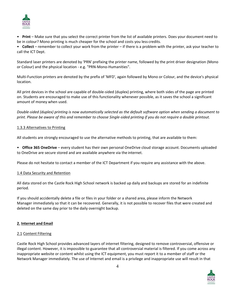

• **Print** – Make sure that you select the correct printer from the list of available printers. Does your document need to be in colour? Mono printing is much cheaper for the school and costs you less credits.

• **Collect** – remember to collect your work from the printer – if there is a problem with the printer, ask your teacher to call the ICT Dept.

Standard laser printers are denoted by 'PRN' prefixing the printer name, followed by the print driver designation (Mono or Colour) and the physical location - e.g. "PRN-Mono-Humanities".

Multi-Function printers are denoted by the prefix of 'MFD', again followed by Mono or Colour, and the device's physical location.

All print devices in the school are capable of double-sided (duplex) printing, where both sides of the page are printed on. Students are encouraged to make use of this functionality whenever possible, as it saves the school a significant amount of money when used.

*Double-sided (duplex) printing is now automatically selected as the default software option when sending a document to print. Please be aware of this and remember to choose Single-sided printing if you do not require a double printout.*

# 1.3.3 Alternatives to Printing

All students are strongly encouraged to use the alternative methods to printing, that are available to them:

• **Office 365 OneDrive** – every student has their own personal OneDrive cloud storage account. Documents uploaded to OneDrive are secure stored and are available anywhere via the internet.

Please do not hesitate to contact a member of the ICT Department if you require any assistance with the above.

#### 1.4 Data Security and Retention

All data stored on the Castle Rock High School network is backed up daily and backups are stored for an indefinite period.

If you should accidentally delete a file or files in your folder or a shared area, please inform the Network Manager immediately so that it can be recovered. Generally, it is not possible to recover files that were created and deleted on the same day prior to the daily overnight backup.

# **2. Internet and Email**

#### 2.1 Content Filtering

Castle Rock High School provides advanced layers of internet filtering, designed to remove controversial, offensive or illegal content. However, it is impossible to guarantee that all controversial material is filtered. If you come across any inappropriate website or content whilst using the ICT equipment, you must report it to a member of staff or the Network Manager immediately. The use of Internet and email is a privilege and inappropriate use will result in that

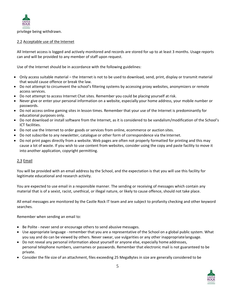

privilege being withdrawn.

# 2.2 Acceptable use of the Internet

All Internet access is logged and actively monitored and records are stored for up to at least 3 months. Usage reports can and will be provided to any member of staff upon request.

Use of the Internet should be in accordance with the following guidelines:

- Only access suitable material the Internet is not to be used to download, send, print, display or transmit material that would cause offence or break the law.
- Do not attempt to circumvent the school's filtering systems by accessing proxy websites, anonymizers or remote access services.
- Do not attempt to access Internet Chat sites. Remember you could be placing yourself atrisk.
- Never give or enter your personal information on a website, especially your home address, your mobile number or passwords.
- Do not access online gaming sites in lesson times. Remember that your use of the Internet is predominantly for educational purposes only.
- Do not download or install software from the Internet, as it is considered to be vandalism/modification of the School's ICT facilities.
- Do not use the Internet to order goods or services from online, ecommerce or auction sites.
- Do not subscribe to any newsletter, catalogue or other form of correspondence via the Internet.
- Do not print pages directly from a website. Web pages are often not properly formatted for printing and this may cause a lot of waste. If you wish to use content from websites, consider using the copy and paste facility to move it into another application, copyright permitting.

#### 2.3 Email

You will be provided with an email address by the School, and the expectation is that you will use this facility for legitimate educational and research activity.

You are expected to use email in a responsible manner. The sending or receiving of messages which contain any material that is of a sexist, racist, unethical, or illegal nature, or likely to cause offence, should not take place.

All email messages are monitored by the Castle Rock IT team and are subject to profanity checking and other keyword searches.

Remember when sending an email to:

- Be Polite never send or encourage others to send abusive messages.
- Use appropriate language remember that you are a representative of the School on a global public system. What you say and do can be viewed by others. Never swear, use vulgarities or any other inappropriatelanguage.
- Do not reveal any personal information about yourself or anyone else, especially home addresses, personal telephone numbers, usernames or passwords. Remember that electronic mail is not guaranteed to be private.
- Consider the file size of an attachment, files exceeding 25 MegaBytes in size are generally considered to be

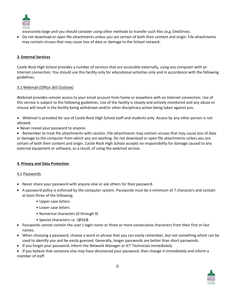

excessively large and you should consider using other methods to transfer such files (e.g. OneDrive).

 Do not download or open file attachments unless you are certain of both their content and origin. File attachments may contain viruses that may cause loss of data or damage to the School network.

# **3. External Services**

Castle Rock High School provides a number of services that are accessible externally, using any computer with an Internet connection. You should use this facility only for educational activities only and in accordance with the following guidelines.

# 3.1 Webmail (Office 365 Outlook)

Webmail provides remote access to your email account from home or anywhere with an Internet connection. Use of this service is subject to the following guidelines. Use of the facility is closely and actively monitored and any abuse or misuse will result in the facility being withdrawn and/or other disciplinary action being taken against you.

- Webmail is provided for use of Castle Rock High School staff and students only. Access by any other person is not allowed.
- Never reveal your password to anyone.

 Remember to treat file attachments with caution. File attachments may contain viruses that may cause loss of data or damage to the computer from which you are working. Do not download or open file attachments unless you are certain of both their content and origin. Castle Rock High School accepts no responsibility for damage caused to any external equipment or software, as a result, of using the webmail service.

# **4. Privacy and Data Protection**

# 4.1 Passwords

- Never share your password with anyone else or ask others for their password.
- A password policy is enforced by the computer system. Passwords must be a minimum of 7 characters and contain at least three of the following;
	- Upper case letters
	- Lower case letters
	- Numerical characters (0 through 9)
	- Special characters i.e. !@\$£&
- Passwords cannot contain the user's login name or three or more consecutive characters from their first or last names.
- When choosing a password, choose a word or phrase that you can easily remember, but not something which can be used to identify you and be easily guessed. Generally, longer passwords are better than short passwords.
- If you forget your password, inform the Network Manager or ICT Technician immediately.

 If you believe that someone else may have discovered your password, then change it immediately and inform a member of staff.

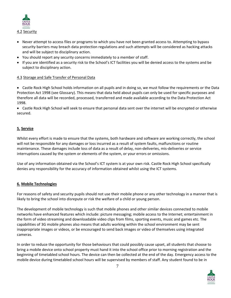

- Never attempt to access files or programs to which you have not been granted access to. Attempting to bypass security barriers may breach data protection regulations and such attempts will be considered as hacking attacks and will be subject to disciplinary action.
- You should report any security concerns immediately to a member of staff.
- If you are identified as a security risk to the School's ICT facilities you will be denied access to the systems and be subject to disciplinary action.

#### 4.3 Storage and Safe Transfer of Personal Data

 Castle Rock High School holds information on all pupils and in doing so, we must follow the requirements or the Data Protection Act 1998 (see Glossary). This means that data held about pupils can only be used for specific purposes and therefore all data will be recorded, processed, transferred and made available according to the Data Protection Act 1998.

 Castle Rock High School will seek to ensure that personal data sent over the internet will be encrypted or otherwise secured.

# **5. Service**

Whilst every effort is made to ensure that the systems, both hardware and software are working correctly, the school will not be responsible for any damages or loss incurred as a result of system faults, malfunctions or routine maintenance. These damages include loss of data as a result of delay, non-deliveries, mis-deliveries or service interruptions caused by the system or elements of the system, or your errors or omissions.

Use of any information obtained via the School's ICT system is at your own risk. Castle Rock High School specifically denies any responsibility for the accuracy of information obtained whilst using the ICT systems.

#### **6. Mobile Technologies**

For reasons of safety and security pupils should not use their mobile phone or any other technology in a manner that is likely to bring the school into disrepute or risk the welfare of a child or young person.

The development of mobile technology is such that mobile phones and other similar devices connected to mobile networks have enhanced features which include: picture messaging; mobile access to the Internet; entertainment in the form of video streaming and downloadable video clips from films, sporting events, music and games etc. The capabilities of 3G mobile phones also means that adults working within the school environment may be sent inappropriate images or videos, or be encouraged to send back images or video of themselves using integrated cameras.

In order to reduce the opportunity for those behaviours that could possibly cause upset, all students that choose to bring a mobile device onto school property must hand it into the school office prior to morning registration and the beginning of timetabled school hours. The device can then be collected at the end of the day. Emergency access to the mobile device during timetabled school hours will be supervised by members of staff. Any student found to be in

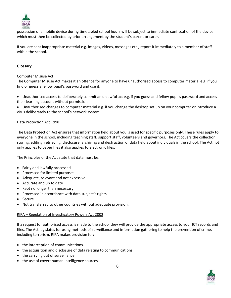

possession of a mobile device during timetabled school hours will be subject to immediate confiscation of the device, which must then be collected by prior arrangement by the student's parent or carer.

If you are sent inappropriate material e.g. images, videos, messages etc., report it immediately to a member of staff within the school.

# **Glossary**

#### Computer Misuse Act

The Computer Misuse Act makes it an offence for anyone to have unauthorised access to computer material e.g. if you find or guess a fellow pupil's password and use it.

- Unauthorised access to deliberately commit an unlawful act e.g. if you guess and fellow pupil's password and access their learning account without permission
- Unauthorised changes to computer material e.g. if you change the desktop set up on your computer or introduce a virus deliberately to the school's network system.

# Data Protection Act 1998

The Data Protection Act ensures that information held about you is used for specific purposes only. These rules apply to everyone in the school, including teaching staff, support staff, volunteers and governors. The Act covers the collection, storing, editing, retrieving, disclosure, archiving and destruction of data held about individuals in the school. The Act not only applies to paper files it also applies to electronic files.

The Principles of the Act state that data must be:

- Fairly and lawfully processed
- Processed for limited purposes
- Adequate, relevant and not excessive
- Accurate and up to date
- Kept no longer than necessary
- Processed in accordance with data subject's rights
- Secure
- Not transferred to other countries without adequate provision.

#### RIPA – Regulation of Investigatory Powers Act 2002

If a request for authorised access is made to the school they will provide the appropriate access to your ICT records and files. The Act legislates for using methods of surveillance and information gathering to help the prevention of crime, including terrorism. RIPA makes provision for:

- the interception of communications.
- the acquisition and disclosure of data relating to communications.
- the carrying out of surveillance.
- the use of covert human intelligence sources.